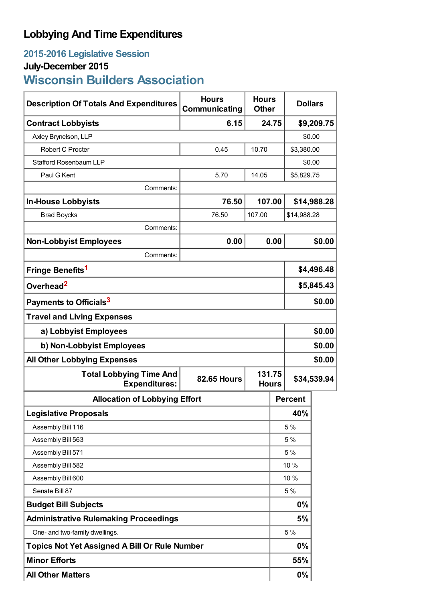## **Lobbying And Time Expenditures**

### **2015-2016 Legislative Session**

## **July-December 2015**

# **Wisconsin Builders Association**

| <b>Description Of Totals And Expenditures</b>          | <b>Hours</b><br>Communicating | <b>Hours</b><br><b>Other</b> | <b>Dollars</b> |             |  |
|--------------------------------------------------------|-------------------------------|------------------------------|----------------|-------------|--|
| <b>Contract Lobbyists</b>                              |                               | 6.15<br>24.75                |                | \$9,209.75  |  |
| Axley Brynelson, LLP                                   |                               |                              | \$0.00         |             |  |
| Robert C Procter                                       | 0.45                          | 10.70                        | \$3,380.00     |             |  |
| <b>Stafford Rosenbaum LLP</b>                          |                               |                              | \$0.00         |             |  |
| Paul G Kent                                            | 5.70                          | 14.05                        | \$5,829.75     |             |  |
| Comments:                                              |                               |                              |                |             |  |
| <b>In-House Lobbyists</b>                              | 76.50                         | 107.00                       |                | \$14,988.28 |  |
| <b>Brad Boycks</b>                                     | 76.50                         | 107.00                       | \$14,988.28    |             |  |
| Comments:                                              |                               |                              |                |             |  |
| <b>Non-Lobbyist Employees</b>                          | 0.00                          | 0.00                         |                | \$0.00      |  |
| Comments:                                              |                               |                              |                |             |  |
| Fringe Benefits <sup>1</sup>                           |                               |                              | \$4,496.48     |             |  |
| Overhead <sup>2</sup>                                  |                               |                              | \$5,845.43     |             |  |
| Payments to Officials <sup>3</sup>                     |                               |                              |                | \$0.00      |  |
| <b>Travel and Living Expenses</b>                      |                               |                              |                |             |  |
| a) Lobbyist Employees                                  |                               |                              | \$0.00         |             |  |
| b) Non-Lobbyist Employees                              |                               |                              | \$0.00         |             |  |
| <b>All Other Lobbying Expenses</b>                     |                               |                              | \$0.00         |             |  |
| <b>Total Lobbying Time And</b><br><b>Expenditures:</b> | <b>82.65 Hours</b>            | 131.75<br><b>Hours</b>       | \$34,539.94    |             |  |
| <b>Allocation of Lobbying Effort</b>                   |                               |                              | <b>Percent</b> |             |  |
| <b>Legislative Proposals</b>                           |                               |                              | 40%            |             |  |
| Assembly Bill 116                                      |                               |                              | 5 %            |             |  |
| Assembly Bill 563                                      |                               |                              | 5 %            |             |  |
| Assembly Bill 571                                      |                               |                              | 5 %            |             |  |
| Assembly Bill 582                                      |                               |                              | 10 %           |             |  |
| Assembly Bill 600                                      |                               |                              | 10 %           |             |  |
| Senate Bill 87                                         |                               |                              | 5 %            |             |  |
| <b>Budget Bill Subjects</b>                            |                               |                              | 0%             |             |  |
| <b>Administrative Rulemaking Proceedings</b>           |                               |                              | 5%             |             |  |
| One- and two-family dwellings.                         |                               |                              | 5 %            |             |  |
| Topics Not Yet Assigned A Bill Or Rule Number          |                               |                              | 0%             |             |  |
| <b>Minor Efforts</b>                                   |                               |                              | 55%            |             |  |
| <b>All Other Matters</b>                               |                               |                              | 0%             |             |  |